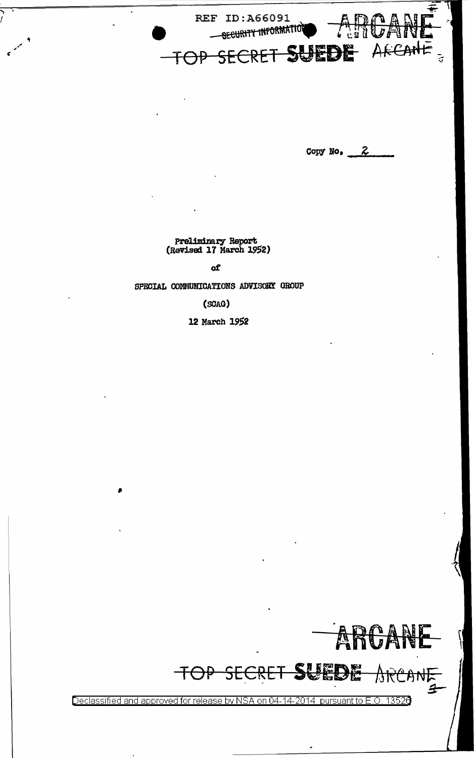

Copy No.  $2$ 

Preliminary Report<br>(Revised 17 March 1952)

of

SPECIAL COMMUNICATIONS ADVISORY GROUP

 $(SGAG)$ 

12 March 1952

都典 庶



Declassified and approved for release by NSA on 04-14-2014 pursuant to E.O. 13526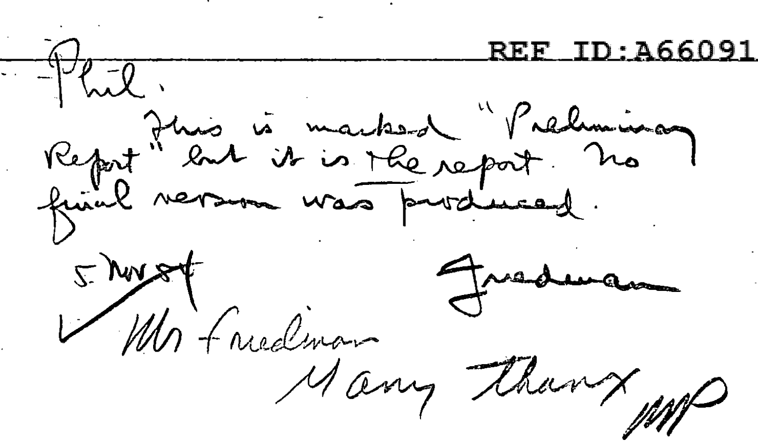REF ID: A66091 - Phil. Report Plus is marked "Prehminage 5 November Justinan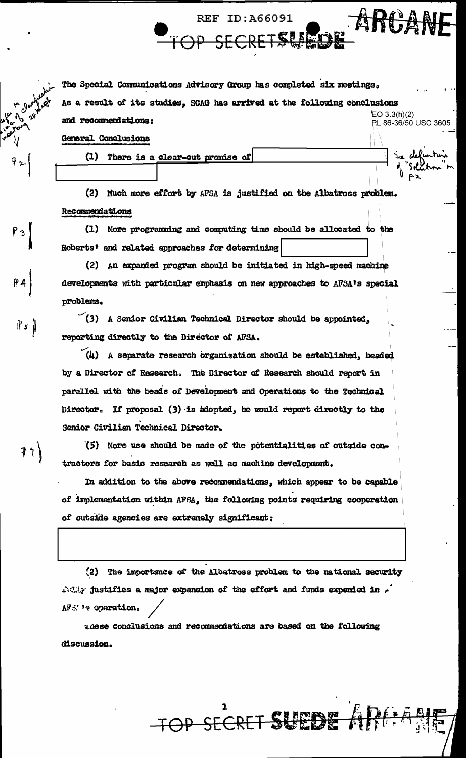Pз

 $\parallel$  5  $\parallel$ 

The Special Communications Advisory Group has completed six meetings. As a result of its studies, SCAG has arrived at the following conclusions  $EO 3.3(h)(2)$ and recommendations: PL 86-36/50 USC 3605

**REF ID: A66091** 

SECRETSI

General Conclusions

There is a clear-cut promise of  $(1)$ 

(2) Much more effort by AFSA is justified on the Albatross problem. Recommendations

(1) More programming and computing time should be allocated to the Roberts' and related approaches for determining

(2) An expanded program should be initiated in high-speed machine developments with particular emphasis on new approaches to AFSA's special problems.

 $(3)$  A Senior Civilian Technical Director should be appointed, reporting directly to the Director of AFSA.

 $(4)$  A separate research organization should be established, headed by a Director of Research. The Director of Research should report in parallel with the heads of Development and Operations to the Technical Director. If proposal (3) is adopted, he would report directly to the Senior Civilian Technical Director.

アイ

(5) More use should be made of the potentialities of outside contractors for basic research as well as machine development.

In addition to the above recommendations, which appear to be capable of implementation within AFSA, the following points requiring cooperation of outside agencies are extremely significant:

The importance of the Albatross problem to the national security  $(2)$ Ally justifies a major expansion of the effort and funds expended in  $\epsilon$ AFS''s operation.

TOP SECRET SURFA

nese conclusions and recommendations are based on the following discussion.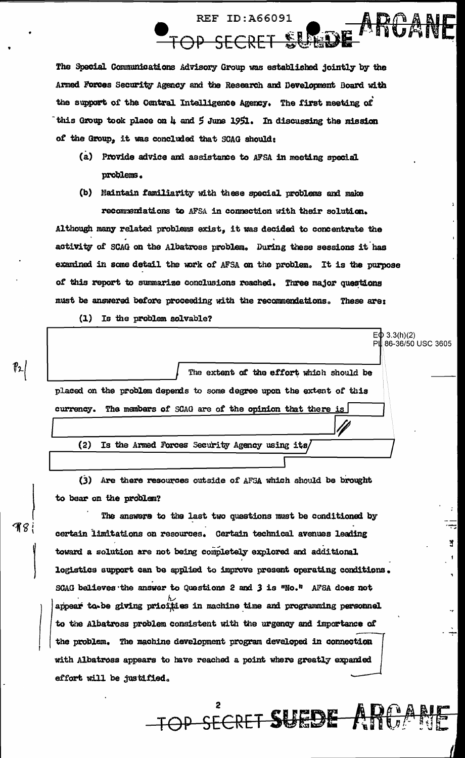The Special Communications Advisory Group was established jointly by the Armed Forces Security Agency and the Research and Development Board with the support of the Central Intelligence Agency. The first meeting of this Group took place on 4 and 5 June 1951. In discussing the mission of the Group, it was concluded that SCAG should:

**REF ID: A66091** 

IP SECRET SU

- (a) Provide advice and assistance to AFSA in meeting special problems.
- (b) Maintain familiarity with these special problems and make recommentations to AFSA in connection with their solution. Although many related problems exist, it was decided to concentrate the activity of SCAG on the Albatross problem. During these sessions it has examined in some detail the work of AFSA on the problem. It is the purpose of this report to summarize conclusions reached. Three major questions must be answered before proceeding with the recommendations. These are:

EO 3.3(h)(2)<br>PL 86-36/50 USC 3605

÷

ă

(1) Is the problem solvable?

The extent of the effort which should be placed on the problem depends to some degree upon the extent of this currency. The members of SCAG are of the opinion that there is  $(2)$ Is the Armed Forces Security Agency using its

(3) Are there resources outside of AFSA which should be brought to bear on the problem?

The answere to the last two questions must be conditioned by certain limitations on resources. Certain technical avenues leading toward a solution are not being completely explored and additional. logistics support can be applied to improve present operating conditions. SCAG believes the answer to Questions 2 and 3 is "No." AFSA does not appear to be giving pricities in machine time and programming personnel to the Albatross problem consistent with the urgency and importance of the problem. The machine development program developed in connection with Albatross appears to have reached a point where greatly expanded effort will be justified.

**TOP SECRET SUEDE ANOLINE** 

**988**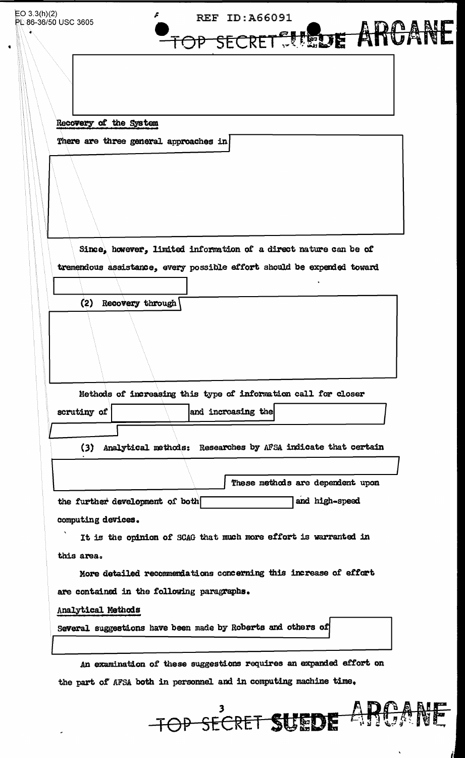| EO 3.3(h)(2) | PL 86-36/50 USC 3605   |                                       | <b>REF ID: A66091</b>                                                  |                                  |   |
|--------------|------------------------|---------------------------------------|------------------------------------------------------------------------|----------------------------------|---|
|              |                        |                                       | OP SECRET SIEDE ARCA                                                   |                                  | 國 |
|              |                        |                                       |                                                                        |                                  |   |
|              |                        |                                       |                                                                        |                                  |   |
|              |                        |                                       |                                                                        |                                  |   |
|              | Recovery of the System |                                       |                                                                        |                                  |   |
|              |                        | There are three general approaches in |                                                                        |                                  |   |
|              |                        |                                       |                                                                        |                                  |   |
|              |                        |                                       |                                                                        |                                  |   |
|              |                        |                                       |                                                                        |                                  |   |
|              |                        |                                       |                                                                        |                                  |   |
|              |                        |                                       |                                                                        |                                  |   |
|              |                        |                                       | Since, however, limited information of a direct nature can be of       |                                  |   |
|              |                        |                                       | tremendous assistance, every possible effort should be expended toward |                                  |   |
|              | (2)                    | Recovery through                      |                                                                        |                                  |   |
|              |                        |                                       |                                                                        |                                  |   |
|              |                        |                                       |                                                                        |                                  |   |
|              |                        |                                       |                                                                        |                                  |   |
|              |                        |                                       |                                                                        |                                  |   |
|              |                        |                                       | Methods of increasing this type of information call for closer         |                                  |   |
|              | scrutiny of            |                                       | and increasing the                                                     |                                  |   |
|              |                        |                                       |                                                                        |                                  |   |
|              |                        |                                       | (3) Analytical methods: Researches by AFSA indicate that certain       |                                  |   |
|              |                        |                                       |                                                                        | These methods are dependent upon |   |
|              |                        | the further development of both       |                                                                        | and high-speed                   |   |
|              | computing devices.     |                                       |                                                                        |                                  |   |
|              |                        |                                       | It is the opinion of SCAG that much more effort is warranted in        |                                  |   |
|              | this area.             |                                       |                                                                        |                                  |   |
|              |                        |                                       | More detailed recommendations concerning this increase of effort       |                                  |   |
|              |                        |                                       | are contained in the following paragraphs.                             |                                  |   |
|              | Analytical Methods     |                                       |                                                                        |                                  |   |
|              |                        |                                       | Several suggestions have been made by Roberts and others of            |                                  |   |
|              |                        |                                       |                                                                        |                                  |   |
|              |                        |                                       | An examination of these suggestions requires an expanded effort on     |                                  |   |

the part of AFSA both in personnel and in computing machine time.



 $\ddot{\phantom{0}}$ 

J.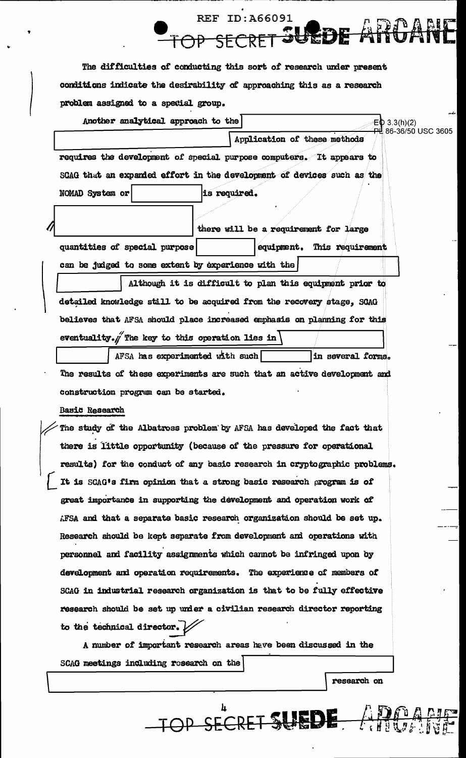The difficulties of conducting this sort of research under present conditions indicate the desirability of approaching this as a research problem assigned to a special group.

**REF ID: A66091** 

SFCRET

SUEDE

|    | Another analytical approach to the<br>$E\Phi$ 3.3(h)(2)                 |
|----|-------------------------------------------------------------------------|
|    | <del>PL</del> 86-36/50 USC 3605<br>Application of these methods         |
|    | requires the development of special purpose computers. It appears to    |
|    | SCAG that an expanded effort in the development of devices such as the  |
|    | is required.<br>NOMAD System or                                         |
| 11 | there will be a requirement for large                                   |
|    | quantities of special purpose<br>equipment. This requirement            |
|    | can be judged to some extent by experience with the                     |
|    | Although it is difficult to plan this equipment prior to                |
|    | detailed knowledge still to be acquired from the recovery stage, SCAG   |
|    | believes that AFSA should place increased emphasis on planning for this |
|    | eventuality. The key to this operation lies in                          |
|    | AFSA has experimented with such<br>'in several forms.                   |

The results of these experiments are such that an active development and construction program can be started.

Basic Research

The study of the Albatross problem by AFSA has developed the fact that there is little opportunity (because of the pressure for operational results) for the conduct of any basic research in cryptographic problems. It is SCAG's firm opinion that a strong basic research program is of great importance in supporting the development and operation work of AFSA and that a separate basic research organization should be set up. Research should be kept separate from development and operations with personnel and facility assignments which cannot be infringed upon by development and operation requirements. The experience of members of SCAG in industrial research organization is that to be fully effective research should be set up under a civilian research director reporting to the technical director.  $\mathcal{V}$ 

A number of important research areas have been discussed in the SCAG meetings including research on the

research on

TOP SECRET SUEDE APPEAR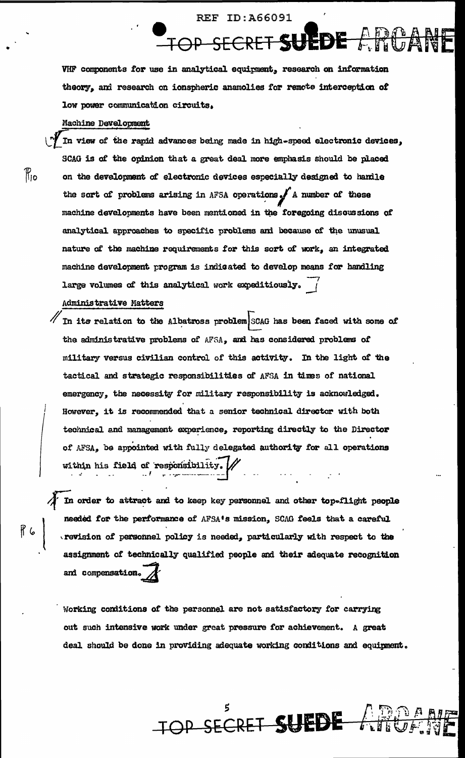**REF ID: A66091** 

OP SECRET SUEDE

VHF components for use in analytical equipment, research on information theory, and research on ionspheric anamolies for remote interception of low power communication circuits.

## Machine Development

In view of the rapid advances being made in high-speed electronic devices, SCAG is of the opinion that a great deal more emphasis should be placed on the development of electronic devices especially designed to handle the sort of problems arising in AFSA operations. A number of these machine developments have been mentioned in the foregoing discussions of analytical approaches to specific problems and because of the unusual nature of the machine requirements for this sort of work, an integrated machine development program is indicated to develop means for handling large volumes of this analytical work expeditiously.

Administrative Matters

In its relation to the Albatross problem SCAG has been faced with some of the administrative problems of AFSA, and has considered problems of military versus civilian control of this activity. In the light of the tactical and strategic responsibilities of AFSA in times of national emergency, the necessity for military responsibility is acknowledged. However, it is recommended that a senior technical director with both technical and management experience, reporting directly to the Director of AFSA, be appointed with fully delegated authority for all operations within his field of responsibility.

In order to attract and to keep key personnel and other top-flight people needed for the performance of AFSA's mission, SCAG feels that a careful revision of personnel policy is needed, particularly with respect to the assignment of technically qualified people and their adequate recognition and compensation.

Working conditions of the personnel are not satisfactory for carrying out such intensive work under great pressure for achievement. A great deal should be done in providing adequate working conditions and equipment.

TOP SECRET SUEDE

ית עיני<br>*ח*ות ל

## $\mathcal{P}_{\mathsf{io}}$